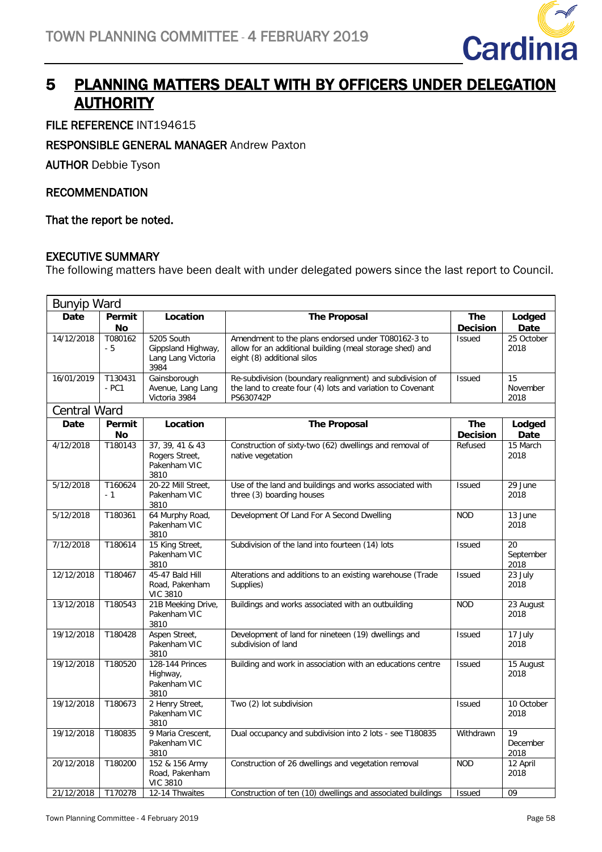

## 5 PLANNING MATTERS DEALT WITH BY OFFICERS UNDER DELEGATION **AUTHORITY**

FILE REFERENCE INT194615

#### RESPONSIBLE GENERAL MANAGER Andrew Paxton

AUTHOR Debbie Tyson

#### RECOMMENDATION

That the report be noted.

#### EXECUTIVE SUMMARY

The following matters have been dealt with under delegated powers since the last report to Council.

|              | <b>Bunyip Ward</b>  |                                                                |                                                                                                                                              |                               |                         |  |  |
|--------------|---------------------|----------------------------------------------------------------|----------------------------------------------------------------------------------------------------------------------------------------------|-------------------------------|-------------------------|--|--|
| <b>Date</b>  | Permit<br>No        | Location                                                       | <b>The Proposal</b>                                                                                                                          | <b>The</b><br><b>Decision</b> | Lodged<br>Date          |  |  |
| 14/12/2018   | T080162<br>- 5      | 5205 South<br>Gippsland Highway,<br>Lang Lang Victoria<br>3984 | Amendment to the plans endorsed under T080162-3 to<br>allow for an additional building (meal storage shed) and<br>eight (8) additional silos | <b>Issued</b>                 | 25 October<br>2018      |  |  |
| 16/01/2019   | T130431<br>$- PC1$  | Gainsborough<br>Avenue, Lang Lang<br>Victoria 3984             | Re-subdivision (boundary realignment) and subdivision of<br>the land to create four (4) lots and variation to Covenant<br>PS630742P          | <b>Issued</b>                 | 15<br>November<br>2018  |  |  |
| Central Ward |                     |                                                                |                                                                                                                                              |                               |                         |  |  |
| <b>Date</b>  | Permit<br><b>No</b> | Location                                                       | <b>The Proposal</b>                                                                                                                          | <b>The</b><br><b>Decision</b> | Lodged<br>Date          |  |  |
| 4/12/2018    | T180143             | 37, 39, 41 & 43<br>Rogers Street,<br>Pakenham VIC<br>3810      | Construction of sixty-two (62) dwellings and removal of<br>native vegetation                                                                 | Refused                       | 15 March<br>2018        |  |  |
| 5/12/2018    | T160624<br>$-1$     | 20-22 Mill Street,<br>Pakenham VIC<br>3810                     | Use of the land and buildings and works associated with<br>three (3) boarding houses                                                         | <b>Issued</b>                 | 29 June<br>2018         |  |  |
| 5/12/2018    | T180361             | 64 Murphy Road,<br>Pakenham VIC<br>3810                        | Development Of Land For A Second Dwelling                                                                                                    | <b>NOD</b>                    | 13 June<br>2018         |  |  |
| 7/12/2018    | T180614             | 15 King Street,<br>Pakenham VIC<br>3810                        | Subdivision of the land into fourteen (14) lots                                                                                              | <b>Issued</b>                 | 20<br>September<br>2018 |  |  |
| 12/12/2018   | T180467             | 45-47 Bald Hill<br>Road, Pakenham<br><b>VIC 3810</b>           | Alterations and additions to an existing warehouse (Trade<br>Supplies)                                                                       | <b>Issued</b>                 | 23 July<br>2018         |  |  |
| 13/12/2018   | T180543             | 21B Meeking Drive,<br>Pakenham VIC<br>3810                     | Buildings and works associated with an outbuilding                                                                                           | <b>NOD</b>                    | 23 August<br>2018       |  |  |
| 19/12/2018   | T180428             | Aspen Street,<br>Pakenham VIC<br>3810                          | Development of land for nineteen (19) dwellings and<br>subdivision of land                                                                   | Issued                        | 17 July<br>2018         |  |  |
| 19/12/2018   | T180520             | 128-144 Princes<br>Highway,<br>Pakenham VIC<br>3810            | Building and work in association with an educations centre                                                                                   | <b>Issued</b>                 | $15$ August<br>2018     |  |  |
| 19/12/2018   | T180673             | 2 Henry Street,<br>Pakenham VIC<br>3810                        | Two (2) lot subdivision                                                                                                                      | <b>Issued</b>                 | 10 October<br>2018      |  |  |
| 19/12/2018   | T180835             | 9 Maria Crescent,<br>Pakenham VIC<br>3810                      | Dual occupancy and subdivision into 2 lots - see T180835                                                                                     | Withdrawn                     | 19<br>December<br>2018  |  |  |
| 20/12/2018   | T180200             | 152 & 156 Army<br>Road, Pakenham<br><b>VIC 3810</b>            | Construction of 26 dwellings and vegetation removal                                                                                          | <b>NOD</b>                    | 12 April<br>2018        |  |  |
| 21/12/2018   | T170278             | 12-14 Thwaites                                                 | Construction of ten (10) dwellings and associated buildings                                                                                  | Issued                        | 09                      |  |  |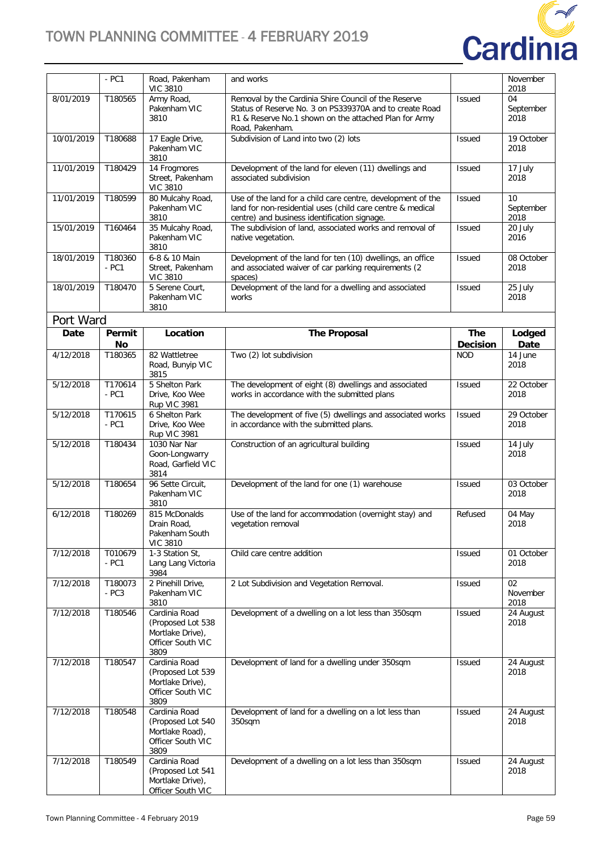

|            | $- PC1$            | Road, Pakenham<br><b>VIC 3810</b>                                                   | and works                                                                                                                                                                                   |                               | November<br>2018        |
|------------|--------------------|-------------------------------------------------------------------------------------|---------------------------------------------------------------------------------------------------------------------------------------------------------------------------------------------|-------------------------------|-------------------------|
| 8/01/2019  | T180565            | Army Road,<br>Pakenham VIC<br>3810                                                  | Removal by the Cardinia Shire Council of the Reserve<br>Status of Reserve No. 3 on PS339370A and to create Road<br>R1 & Reserve No.1 shown on the attached Plan for Army<br>Road, Pakenham. | <b>Issued</b>                 | 04<br>September<br>2018 |
| 10/01/2019 | T180688            | 17 Eagle Drive,<br>Pakenham VIC<br>3810                                             | Subdivision of Land into two (2) lots                                                                                                                                                       | <b>Issued</b>                 | 19 October<br>2018      |
| 11/01/2019 | T180429            | 14 Frogmores<br>Street, Pakenham<br><b>VIC 3810</b>                                 | Development of the land for eleven (11) dwellings and<br>associated subdivision                                                                                                             | <b>Issued</b>                 | 17 July<br>2018         |
| 11/01/2019 | T180599            | 80 Mulcahy Road,<br>Pakenham VIC<br>3810                                            | Use of the land for a child care centre, development of the<br>land for non-residential uses (child care centre & medical<br>centre) and business identification signage.                   | <b>Issued</b>                 | 10<br>September<br>2018 |
| 15/01/2019 | T160464            | 35 Mulcahy Road,<br>Pakenham VIC<br>3810                                            | The subdivision of land, associated works and removal of<br>native vegetation.                                                                                                              | <b>Issued</b>                 | 20 July<br>2016         |
| 18/01/2019 | T180360<br>$- PC1$ | 6-8 & 10 Main<br>Street, Pakenham<br><b>VIC 3810</b>                                | Development of the land for ten (10) dwellings, an office<br>and associated waiver of car parking requirements (2<br>spaces)                                                                | <b>Issued</b>                 | 08 October<br>2018      |
| 18/01/2019 | T180470            | 5 Serene Court,<br>Pakenham VIC<br>3810                                             | Development of the land for a dwelling and associated<br>works                                                                                                                              | <b>Issued</b>                 | 25 July<br>2018         |
| Port Ward  |                    |                                                                                     |                                                                                                                                                                                             |                               |                         |
| Date       | Permit<br>No       | Location                                                                            | <b>The Proposal</b>                                                                                                                                                                         | <b>The</b><br><b>Decision</b> | Lodged<br>Date          |
| 4/12/2018  | T180365            | 82 Wattletree<br>Road, Bunyip VIC<br>3815                                           | Two (2) lot subdivision                                                                                                                                                                     | <b>NOD</b>                    | 14 June<br>2018         |
| 5/12/2018  | T170614<br>$- PC1$ | 5 Shelton Park<br>Drive, Koo Wee<br><b>Rup VIC 3981</b>                             | The development of eight (8) dwellings and associated<br>works in accordance with the submitted plans                                                                                       | <b>Issued</b>                 | 22 October<br>2018      |
| 5/12/2018  | T170615<br>$- PC1$ | 6 Shelton Park<br>Drive, Koo Wee<br><b>Rup VIC 3981</b>                             | The development of five (5) dwellings and associated works<br>in accordance with the submitted plans.                                                                                       | <b>Issued</b>                 | 29 October<br>2018      |
| 5/12/2018  | T180434            | 1030 Nar Nar<br>Goon-Longwarry<br>Road, Garfield VIC<br>3814                        | Construction of an agricultural building                                                                                                                                                    | <b>Issued</b>                 | 14 July<br>2018         |
| 5/12/2018  | T180654            | 96 Sette Circuit,<br>Pakenham VIC<br>3810                                           | Development of the land for one (1) warehouse                                                                                                                                               | <b>Issued</b>                 | 03 October<br>2018      |
| 6/12/2018  | T180269            | 815 McDonalds<br>Drain Road,<br>Pakenham South<br><b>VIC 3810</b>                   | Use of the land for accommodation (overnight stay) and<br>vegetation removal                                                                                                                | Refused                       | 04 May<br>2018          |
| 7/12/2018  | T010679<br>$- PC1$ | 1-3 Station St,<br>Lang Lang Victoria<br>3984                                       | Child care centre addition                                                                                                                                                                  | Issued                        | 01 October<br>2018      |
| 7/12/2018  | T180073<br>$-PC3$  | 2 Pinehill Drive,<br>Pakenham VIC<br>3810                                           | 2 Lot Subdivision and Vegetation Removal.                                                                                                                                                   | <b>Issued</b>                 | 02<br>November<br>2018  |
| 7/12/2018  | T180546            | Cardinia Road<br>(Proposed Lot 538<br>Mortlake Drive),<br>Officer South VIC<br>3809 | Development of a dwelling on a lot less than 350sqm                                                                                                                                         | <b>Issued</b>                 | 24 August<br>2018       |
| 7/12/2018  | T180547            | Cardinia Road<br>(Proposed Lot 539<br>Mortlake Drive),<br>Officer South VIC<br>3809 | Development of land for a dwelling under 350sqm                                                                                                                                             | <b>Issued</b>                 | 24 August<br>2018       |
| 7/12/2018  | T180548            | Cardinia Road<br>(Proposed Lot 540<br>Mortlake Road),<br>Officer South VIC<br>3809  | Development of land for a dwelling on a lot less than<br>350sqm                                                                                                                             | <b>Issued</b>                 | 24 August<br>2018       |
| 7/12/2018  | T180549            | Cardinia Road<br>(Proposed Lot 541<br>Mortlake Drive),<br>Officer South VIC         | Development of a dwelling on a lot less than 350sqm                                                                                                                                         | Issued                        | 24 August<br>2018       |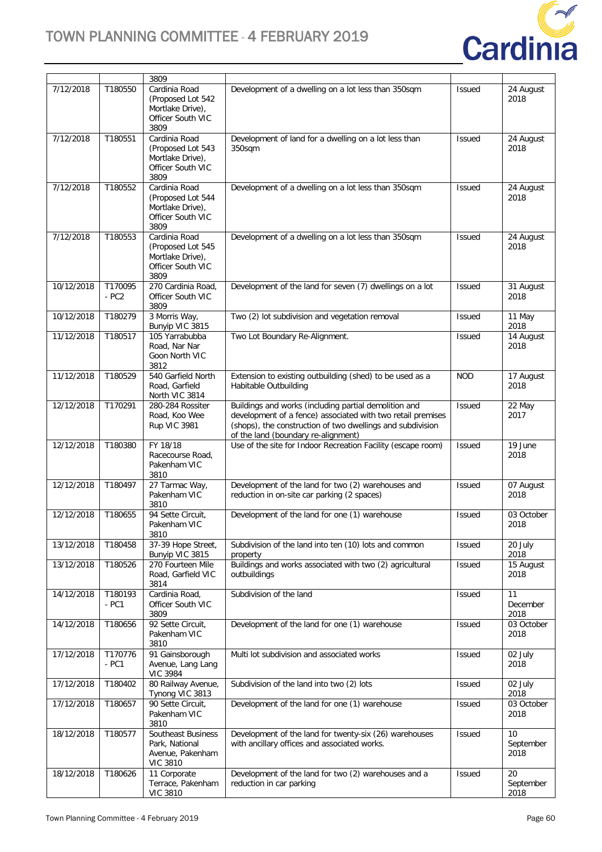

|            |                    | 3809                                                                                |                                                                                                                                                                                                                           |               |                         |
|------------|--------------------|-------------------------------------------------------------------------------------|---------------------------------------------------------------------------------------------------------------------------------------------------------------------------------------------------------------------------|---------------|-------------------------|
| 7/12/2018  | T180550            | Cardinia Road<br>(Proposed Lot 542<br>Mortlake Drive),<br>Officer South VIC<br>3809 | Development of a dwelling on a lot less than 350sqm                                                                                                                                                                       | <b>Issued</b> | 24 August<br>2018       |
| 7/12/2018  | T180551            | Cardinia Road<br>(Proposed Lot 543<br>Mortlake Drive),<br>Officer South VIC<br>3809 | Development of land for a dwelling on a lot less than<br>350sqm                                                                                                                                                           | <b>Issued</b> | 24 August<br>2018       |
| 7/12/2018  | T180552            | Cardinia Road<br>(Proposed Lot 544<br>Mortlake Drive),<br>Officer South VIC<br>3809 | Development of a dwelling on a lot less than 350sqm                                                                                                                                                                       | <b>Issued</b> | 24 August<br>2018       |
| 7/12/2018  | T180553            | Cardinia Road<br>(Proposed Lot 545<br>Mortlake Drive),<br>Officer South VIC<br>3809 | Development of a dwelling on a lot less than 350sqm                                                                                                                                                                       | <b>Issued</b> | 24 August<br>2018       |
| 10/12/2018 | T170095<br>$- PC2$ | 270 Cardinia Road,<br>Officer South VIC<br>3809                                     | Development of the land for seven (7) dwellings on a lot                                                                                                                                                                  | Issued        | 31 August<br>2018       |
| 10/12/2018 | T180279            | 3 Morris Way,<br>Bunyip VIC 3815                                                    | Two (2) lot subdivision and vegetation removal                                                                                                                                                                            | <b>Issued</b> | 11 May<br>2018          |
| 11/12/2018 | T180517            | 105 Yarrabubba<br>Road, Nar Nar<br>Goon North VIC<br>3812                           | Two Lot Boundary Re-Alignment.                                                                                                                                                                                            | <b>Issued</b> | 14 August<br>2018       |
| 11/12/2018 | T180529            | 540 Garfield North<br>Road, Garfield<br>North VIC 3814                              | Extension to existing outbuilding (shed) to be used as a<br>Habitable Outbuilding                                                                                                                                         | <b>NOD</b>    | 17 August<br>2018       |
| 12/12/2018 | T170291            | 280-284 Rossiter<br>Road, Koo Wee<br>Rup VIC 3981                                   | Buildings and works (including partial demolition and<br>development of a fence) associated with two retail premises<br>(shops), the construction of two dwellings and subdivision<br>of the land (boundary re-alignment) | <b>Issued</b> | 22 May<br>2017          |
| 12/12/2018 | T180380            | FY 18/18<br>Racecourse Road,<br>Pakenham VIC<br>3810                                | Use of the site for Indoor Recreation Facility (escape room)                                                                                                                                                              | <b>Issued</b> | 19 June<br>2018         |
| 12/12/2018 | T180497            | 27 Tarmac Way,<br>Pakenham VIC<br>3810                                              | Development of the land for two (2) warehouses and<br>reduction in on-site car parking (2 spaces)                                                                                                                         | <b>Issued</b> | 07 August<br>2018       |
| 12/12/2018 | T180655            | 94 Sette Circuit,<br>Pakenham VIC<br>3810                                           | Development of the land for one (1) warehouse                                                                                                                                                                             | <b>Issued</b> | 03 October<br>2018      |
| 13/12/2018 | T180458            | 37-39 Hope Street,<br>Bunyip VIC 3815                                               | Subdivision of the land into ten (10) lots and common<br>property                                                                                                                                                         | <b>Issued</b> | 20 July<br>2018         |
| 13/12/2018 | T180526            | 270 Fourteen Mile<br>Road, Garfield VIC<br>3814                                     | Buildings and works associated with two (2) agricultural<br>outbuildings                                                                                                                                                  | Issued        | 15 August<br>2018       |
| 14/12/2018 | T180193<br>$- PC1$ | Cardinia Road,<br>Officer South VIC<br>3809                                         | Subdivision of the land                                                                                                                                                                                                   | <b>Issued</b> | 11<br>December<br>2018  |
| 14/12/2018 | T180656            | 92 Sette Circuit,<br>Pakenham VIC<br>3810                                           | Development of the land for one (1) warehouse                                                                                                                                                                             | <b>Issued</b> | 03 October<br>2018      |
| 17/12/2018 | T170776<br>$- PC1$ | 91 Gainsborough<br>Avenue, Lang Lang<br><b>VIC 3984</b>                             | Multi lot subdivision and associated works                                                                                                                                                                                | <b>Issued</b> | 02 July<br>2018         |
| 17/12/2018 | T180402            | 80 Railway Avenue,<br>Tynong VIC 3813                                               | Subdivision of the land into two (2) lots                                                                                                                                                                                 | <b>Issued</b> | 02 July<br>2018         |
| 17/12/2018 | T180657            | 90 Sette Circuit,<br>Pakenham VIC<br>3810                                           | Development of the land for one (1) warehouse                                                                                                                                                                             | <b>Issued</b> | 03 October<br>2018      |
| 18/12/2018 | T180577            | <b>Southeast Business</b><br>Park, National<br>Avenue, Pakenham<br><b>VIC 3810</b>  | Development of the land for twenty-six (26) warehouses<br>with ancillary offices and associated works.                                                                                                                    | <b>Issued</b> | 10<br>September<br>2018 |
| 18/12/2018 | T180626            | 11 Corporate<br>Terrace, Pakenham<br><b>VIC 3810</b>                                | Development of the land for two (2) warehouses and a<br>reduction in car parking                                                                                                                                          | <b>Issued</b> | 20<br>September<br>2018 |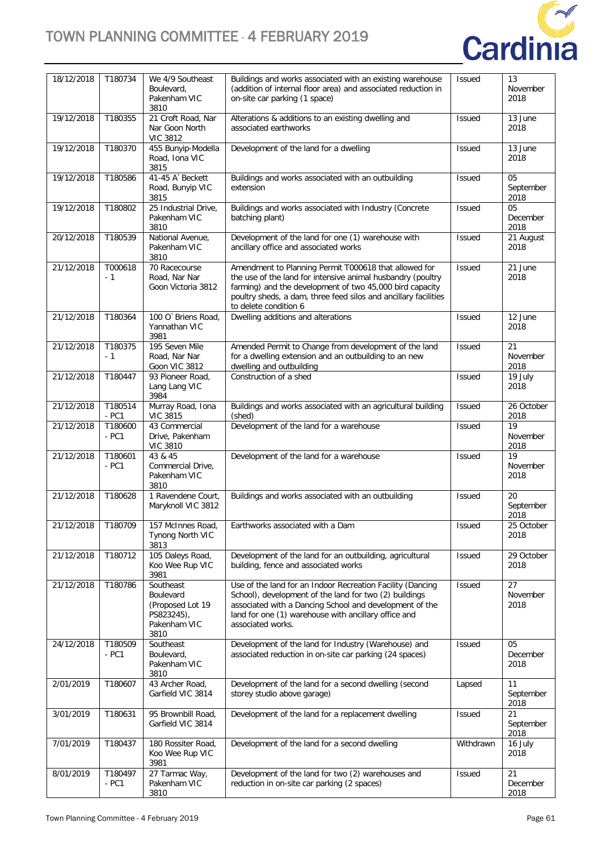

| 18/12/2018 | T180734            | We 4/9 Southeast<br>Boulevard,<br>Pakenham VIC<br>3810                           | Buildings and works associated with an existing warehouse<br>(addition of internal floor area) and associated reduction in<br>on-site car parking (1 space)                                                                                                                  | <b>Issued</b> | 13<br>November<br>2018              |
|------------|--------------------|----------------------------------------------------------------------------------|------------------------------------------------------------------------------------------------------------------------------------------------------------------------------------------------------------------------------------------------------------------------------|---------------|-------------------------------------|
| 19/12/2018 | T180355            | 21 Croft Road, Nar<br>Nar Goon North<br><b>VIC 3812</b>                          | Alterations & additions to an existing dwelling and<br>associated earthworks                                                                                                                                                                                                 | <b>Issued</b> | 13 June<br>2018                     |
| 19/12/2018 | T180370            | 455 Bunyip-Modella<br>Road, Iona VIC<br>3815                                     | Development of the land for a dwelling                                                                                                                                                                                                                                       | <b>Issued</b> | 13 June<br>2018                     |
| 19/12/2018 | T180586            | 41-45 A' Beckett<br>Road, Bunyip VIC<br>3815                                     | Buildings and works associated with an outbuilding<br>extension                                                                                                                                                                                                              | <b>Issued</b> | 05<br>September<br>2018             |
| 19/12/2018 | T180802            | 25 Industrial Drive,<br>Pakenham VIC<br>3810                                     | Buildings and works associated with Industry (Concrete<br>batching plant)                                                                                                                                                                                                    | Issued        | 05<br>December<br>2018              |
| 20/12/2018 | T180539            | National Avenue,<br>Pakenham VIC<br>3810                                         | Development of the land for one (1) warehouse with<br>ancillary office and associated works                                                                                                                                                                                  | Issued        | 21 August<br>2018                   |
| 21/12/2018 | T000618<br>- 1     | 70 Racecourse<br>Road, Nar Nar<br>Goon Victoria 3812                             | Amendment to Planning Permit T000618 that allowed for<br>the use of the land for intensive animal husbandry (poultry<br>farming) and the development of two 45,000 bird capacity<br>poultry sheds, a dam, three feed silos and ancillary facilities<br>to delete condition 6 | Issued        | 21 June<br>2018                     |
| 21/12/2018 | T180364            | 100 O' Briens Road,<br>Yannathan VIC<br>3981                                     | Dwelling additions and alterations                                                                                                                                                                                                                                           | <b>Issued</b> | 12 June<br>2018                     |
| 21/12/2018 | T180375<br>- 1     | 195 Seven Mile<br>Road, Nar Nar<br>Goon VIC 3812                                 | Amended Permit to Change from development of the land<br>for a dwelling extension and an outbuilding to an new<br>dwelling and outbuilding                                                                                                                                   | Issued        | 21<br>November<br>2018              |
| 21/12/2018 | T180447            | 93 Pioneer Road,<br>Lang Lang VIC<br>3984                                        | Construction of a shed                                                                                                                                                                                                                                                       | Issued        | 19 July<br>2018                     |
| 21/12/2018 | T180514<br>$- PC1$ | Murray Road, Iona<br><b>VIC 3815</b>                                             | Buildings and works associated with an agricultural building<br>(shed)                                                                                                                                                                                                       | Issued        | 26 October<br>2018                  |
| 21/12/2018 | T180600<br>$- PC1$ | 43 Commercial<br>Drive, Pakenham<br><b>VIC 3810</b>                              | Development of the land for a warehouse                                                                                                                                                                                                                                      | Issued        | 19<br>November<br>2018              |
| 21/12/2018 | T180601<br>$- PC1$ | 43 & 45<br>Commercial Drive,<br>Pakenham VIC<br>3810                             | Development of the land for a warehouse                                                                                                                                                                                                                                      | Issued        | $\overline{19}$<br>November<br>2018 |
| 21/12/2018 | T180628            | 1 Ravendene Court,<br>Maryknoll VIC 3812                                         | Buildings and works associated with an outbuilding                                                                                                                                                                                                                           | Issued        | 20<br>September<br>2018             |
| 21/12/2018 | T180709            | 157 McInnes Road,<br>Tynong North VIC<br>3813                                    | Earthworks associated with a Dam                                                                                                                                                                                                                                             | Issued        | 25 October<br>2018                  |
| 21/12/2018 | T180712            | 105 Daleys Road,<br>Koo Wee Rup VIC<br>3981                                      | Development of the land for an outbuilding, agricultural<br>building, fence and associated works                                                                                                                                                                             | <b>Issued</b> | 29 October<br>2018                  |
| 21/12/2018 | T180786            | Southeast<br>Boulevard<br>(Proposed Lot 19<br>PS823245),<br>Pakenham VIC<br>3810 | Use of the land for an Indoor Recreation Facility (Dancing<br>School), development of the land for two (2) buildings<br>associated with a Dancing School and development of the<br>land for one (1) warehouse with ancillary office and<br>associated works.                 | <b>Issued</b> | 27<br>November<br>2018              |
| 24/12/2018 | T180509<br>- PC1   | Southeast<br>Boulevard,<br>Pakenham VIC<br>3810                                  | Development of the land for Industry (Warehouse) and<br>associated reduction in on-site car parking (24 spaces)                                                                                                                                                              | <b>Issued</b> | 05<br>December<br>2018              |
| 2/01/2019  | T180607            | 43 Archer Road,<br>Garfield VIC 3814                                             | Development of the land for a second dwelling (second<br>storey studio above garage)                                                                                                                                                                                         | Lapsed        | 11<br>September<br>2018             |
| 3/01/2019  | T180631            | 95 Brownbill Road,<br>Garfield VIC 3814                                          | Development of the land for a replacement dwelling                                                                                                                                                                                                                           | <b>Issued</b> | 21<br>September<br>2018             |
| 7/01/2019  | T180437            | 180 Rossiter Road,<br>Koo Wee Rup VIC<br>3981                                    | Development of the land for a second dwelling                                                                                                                                                                                                                                | Withdrawn     | 16 July<br>2018                     |
| 8/01/2019  | T180497<br>$- PC1$ | 27 Tarmac Way,<br>Pakenham VIC<br>3810                                           | Development of the land for two (2) warehouses and<br>reduction in on-site car parking (2 spaces)                                                                                                                                                                            | <b>Issued</b> | 21<br>December<br>2018              |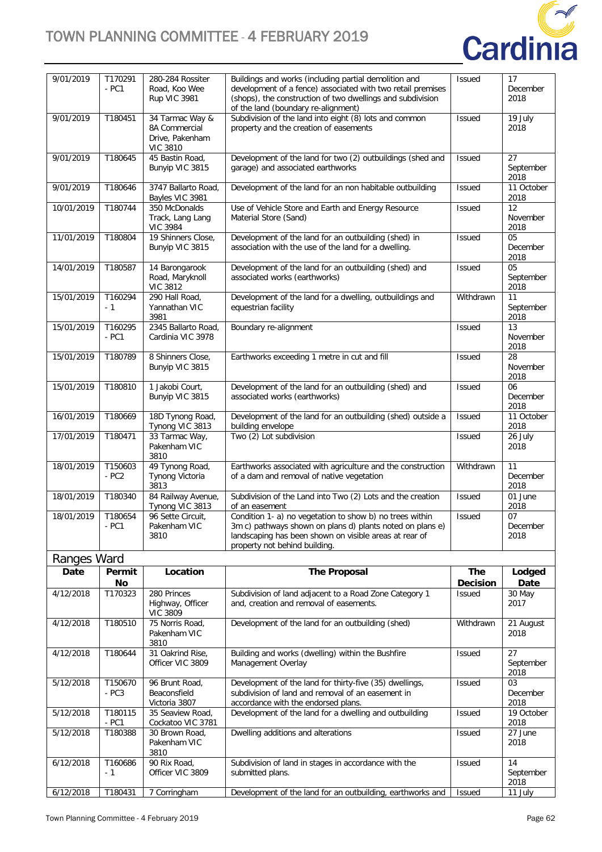

| 4/12/2018                | T170323                       | 280 Princes<br>Highway Officer                                         | Subdivision of land adjacent to a Road Zone Category 1<br>and croation and romoval of oscomonte                                                                                                                           | Issued                     | 30 May<br>2017                    |
|--------------------------|-------------------------------|------------------------------------------------------------------------|---------------------------------------------------------------------------------------------------------------------------------------------------------------------------------------------------------------------------|----------------------------|-----------------------------------|
|                          | No                            |                                                                        |                                                                                                                                                                                                                           | <b>Decision</b>            | Date                              |
| Date                     | Permit                        | Location                                                               | <b>The Proposal</b>                                                                                                                                                                                                       | <b>The</b>                 | Lodged                            |
| Ranges Ward              |                               |                                                                        |                                                                                                                                                                                                                           |                            |                                   |
|                          | $- PC1$                       | Pakenham VIC<br>3810                                                   | 3m c) pathways shown on plans d) plants noted on plans e)<br>landscaping has been shown on visible areas at rear of<br>property not behind building.                                                                      |                            | December<br>2018                  |
| 18/01/2019               | T180654                       | Tynong VIC 3813<br>96 Sette Circuit,                                   | of an easement<br>Condition 1- a) no vegetation to show b) no trees within                                                                                                                                                | <b>Issued</b>              | 2018<br>07                        |
| 18/01/2019<br>18/01/2019 | T150603<br>$- PC2$<br>T180340 | 49 Tynong Road,<br>Tynong Victoria<br>3813<br>84 Railway Avenue,       | Earthworks associated with agriculture and the construction<br>of a dam and removal of native vegetation<br>Subdivision of the Land into Two (2) Lots and the creation                                                    | Withdrawn<br><b>Issued</b> | 11<br>December<br>2018<br>01 June |
| 17/01/2019               | T180471                       | 33 Tarmac Way,<br>Pakenham VIC<br>3810                                 | Two (2) Lot subdivision                                                                                                                                                                                                   | <b>Issued</b>              | 26 July<br>2018                   |
| 16/01/2019               | T180669                       | 18D Tynong Road,<br>Tynong VIC 3813                                    | Development of the land for an outbuilding (shed) outside a<br>building envelope                                                                                                                                          | Issued                     | 11 October<br>2018                |
| 15/01/2019               | T180810                       | 1 Jakobi Court,<br>Bunyip VIC 3815                                     | Development of the land for an outbuilding (shed) and<br>associated works (earthworks)                                                                                                                                    | <b>Issued</b>              | 06<br>December<br>2018            |
| 15/01/2019               | T180789                       | 8 Shinners Close,<br>Bunyip VIC 3815                                   | Earthworks exceeding 1 metre in cut and fill                                                                                                                                                                              | <b>Issued</b>              | 28<br>November<br>2018            |
| 15/01/2019               | T160295<br>$- PC1$            | 2345 Ballarto Road,<br>Cardinia VIC 3978                               | Boundary re-alignment                                                                                                                                                                                                     | <b>Issued</b>              | 13<br>November<br>2018            |
| 15/01/2019               | T160294<br>$-1$               | 290 Hall Road,<br>Yannathan VIC<br>3981                                | Development of the land for a dwelling, outbuildings and<br>equestrian facility                                                                                                                                           | Withdrawn                  | 11<br>September<br>2018           |
| 14/01/2019               | T180587                       | 14 Barongarook<br>Road, Maryknoll<br><b>VIC 3812</b>                   | Development of the land for an outbuilding (shed) and<br>associated works (earthworks)                                                                                                                                    | <b>Issued</b>              | 05<br>September<br>2018           |
| 11/01/2019               | T180804                       | 19 Shinners Close,<br>Bunyip VIC 3815                                  | Development of the land for an outbuilding (shed) in<br>association with the use of the land for a dwelling.                                                                                                              | Issued                     | 05<br>December<br>2018            |
| 10/01/2019               | T180744                       | 350 McDonalds<br>Track, Lang Lang<br><b>VIC 3984</b>                   | Use of Vehicle Store and Earth and Energy Resource<br>Material Store (Sand)                                                                                                                                               | Issued                     | 12<br>November<br>2018            |
| 9/01/2019                | T180646                       | 3747 Ballarto Road,<br>Bayles VIC 3981                                 | Development of the land for an non habitable outbuilding                                                                                                                                                                  | <b>Issued</b>              | 11 October<br>2018                |
| 9/01/2019                | T180645                       | 45 Bastin Road,<br>Bunyip VIC 3815                                     | Development of the land for two (2) outbuildings (shed and<br>garage) and associated earthworks                                                                                                                           | <b>Issued</b>              | 27<br>September<br>2018           |
| 9/01/2019                | T180451                       | 34 Tarmac Way &<br>8A Commercial<br>Drive, Pakenham<br><b>VIC 3810</b> | Subdivision of the land into eight (8) lots and common<br>property and the creation of easements                                                                                                                          | <b>Issued</b>              | 19 July<br>2018                   |
| 9/01/2019                | T170291<br>$- PC1$            | 280-284 Rossiter<br>Road, Koo Wee<br>Rup VIC 3981                      | Buildings and works (including partial demolition and<br>development of a fence) associated with two retail premises<br>(shops), the construction of two dwellings and subdivision<br>of the land (boundary re-alignment) | Issued                     | 17<br>December<br>2018            |

| 4/12/2018 | T170323           | 280 Princes<br>Highway, Officer<br><b>VIC 3809</b> | Subdivision of land adjacent to a Road Zone Category 1<br>and, creation and removal of easements.                                                   | <b>Issued</b> | 30 May<br>2017          |
|-----------|-------------------|----------------------------------------------------|-----------------------------------------------------------------------------------------------------------------------------------------------------|---------------|-------------------------|
| 4/12/2018 | T180510           | 75 Norris Road,<br>Pakenham VIC<br>3810            | Development of the land for an outbuilding (shed)                                                                                                   | Withdrawn     | 21 August<br>2018       |
| 4/12/2018 | T180644           | 31 Oakrind Rise,<br>Officer VIC 3809               | Building and works (dwelling) within the Bushfire<br>Management Overlay                                                                             | <b>Issued</b> | 27<br>September<br>2018 |
| 5/12/2018 | T150670<br>$-PC3$ | 96 Brunt Road.<br>Beaconsfield<br>Victoria 3807    | Development of the land for thirty-five (35) dwellings,<br>subdivision of land and removal of an easement in<br>accordance with the endorsed plans. | <b>Issued</b> | 03<br>December<br>2018  |
| 5/12/2018 | T180115<br>- PC1  | 35 Seaview Road,<br>Cockatoo VIC 3781              | Development of the land for a dwelling and outbuilding                                                                                              | <b>Issued</b> | 19 October<br>2018      |
| 5/12/2018 | T180388           | 30 Brown Road,<br>Pakenham VIC<br>3810             | Dwelling additions and alterations                                                                                                                  | <b>Issued</b> | 27 June<br>2018         |
| 6/12/2018 | T160686<br>- 1    | 90 Rix Road,<br>Officer VIC 3809                   | Subdivision of land in stages in accordance with the<br>submitted plans.                                                                            | <b>Issued</b> | 14<br>September<br>2018 |
| 6/12/2018 | T180431           | 7 Corringham                                       | Development of the land for an outbuilding, earthworks and                                                                                          | <b>Issued</b> | 11 July                 |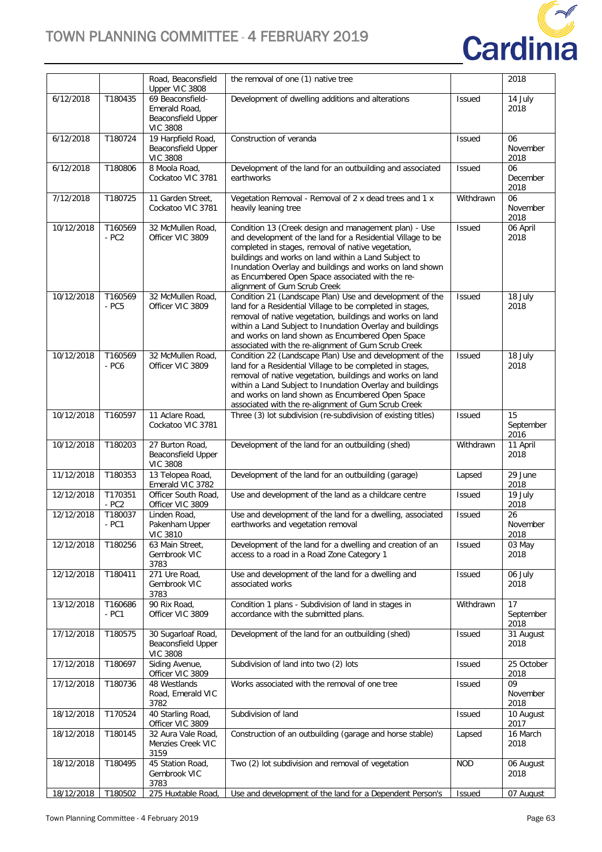

|            |                    | Road, Beaconsfield                                          | the removal of one (1) native tree                                                                                                                                                                                                                                                                                                                                                 |               | 2018                    |
|------------|--------------------|-------------------------------------------------------------|------------------------------------------------------------------------------------------------------------------------------------------------------------------------------------------------------------------------------------------------------------------------------------------------------------------------------------------------------------------------------------|---------------|-------------------------|
| 6/12/2018  | T180435            | Upper VIC 3808<br>69 Beaconsfield-                          | Development of dwelling additions and alterations                                                                                                                                                                                                                                                                                                                                  | <b>Issued</b> | 14 July                 |
|            |                    | Emerald Road,<br><b>Beaconsfield Upper</b>                  |                                                                                                                                                                                                                                                                                                                                                                                    |               | 2018                    |
| 6/12/2018  | T180724            | <b>VIC 3808</b><br>19 Harpfield Road,                       | Construction of veranda                                                                                                                                                                                                                                                                                                                                                            | <b>Issued</b> | 06                      |
|            |                    | <b>Beaconsfield Upper</b><br><b>VIC 3808</b>                |                                                                                                                                                                                                                                                                                                                                                                                    |               | November<br>2018        |
| 6/12/2018  | T180806            | 8 Moola Road,<br>Cockatoo VIC 3781                          | Development of the land for an outbuilding and associated<br>earthworks                                                                                                                                                                                                                                                                                                            | <b>Issued</b> | 06<br>December<br>2018  |
| 7/12/2018  | T180725            | 11 Garden Street,<br>Cockatoo VIC 3781                      | Vegetation Removal - Removal of 2 x dead trees and 1 x<br>heavily leaning tree                                                                                                                                                                                                                                                                                                     | Withdrawn     | 06<br>November<br>2018  |
| 10/12/2018 | T160569<br>$- PC2$ | 32 McMullen Road,<br>Officer VIC 3809                       | Condition 13 (Creek design and management plan) - Use<br>and development of the land for a Residential Village to be<br>completed in stages, removal of native vegetation,<br>buildings and works on land within a Land Subject to<br>Inundation Overlay and buildings and works on land shown<br>as Encumbered Open Space associated with the re-<br>alignment of Gum Scrub Creek | <b>Issued</b> | 06 April<br>2018        |
| 10/12/2018 | T160569<br>- PC5   | 32 McMullen Road,<br>Officer VIC 3809                       | Condition 21 (Landscape Plan) Use and development of the<br>land for a Residential Village to be completed in stages,<br>removal of native vegetation, buildings and works on land<br>within a Land Subject to Inundation Overlay and buildings<br>and works on land shown as Encumbered Open Space<br>associated with the re-alignment of Gum Scrub Creek                         | <b>Issued</b> | 18 July<br>2018         |
| 10/12/2018 | T160569<br>$-PC6$  | 32 McMullen Road,<br>Officer VIC 3809                       | Condition 22 (Landscape Plan) Use and development of the<br>land for a Residential Village to be completed in stages,<br>removal of native vegetation, buildings and works on land<br>within a Land Subject to Inundation Overlay and buildings<br>and works on land shown as Encumbered Open Space<br>associated with the re-alignment of Gum Scrub Creek                         | <b>Issued</b> | 18 July<br>2018         |
| 10/12/2018 | T160597            | 11 Aclare Road,<br>Cockatoo VIC 3781                        | Three (3) lot subdivision (re-subdivision of existing titles)                                                                                                                                                                                                                                                                                                                      | <b>Issued</b> | 15<br>September<br>2016 |
| 10/12/2018 | T180203            | 27 Burton Road,<br>Beaconsfield Upper<br><b>VIC 3808</b>    | Development of the land for an outbuilding (shed)                                                                                                                                                                                                                                                                                                                                  | Withdrawn     | 11 April<br>2018        |
| 11/12/2018 | T180353            | 13 Telopea Road,<br>Emerald VIC 3782                        | Development of the land for an outbuilding (garage)                                                                                                                                                                                                                                                                                                                                | Lapsed        | 29 June<br>2018         |
| 12/12/2018 | T170351<br>$-PC2$  | Officer South Road,<br>Officer VIC 3809                     | Use and development of the land as a childcare centre                                                                                                                                                                                                                                                                                                                              | <b>Issued</b> | 19 July<br>2018         |
| 12/12/2018 | T180037<br>- PC1   | Linden Road,<br>Pakenham Upper<br><b>VIC 3810</b>           | Use and development of the land for a dwelling, associated<br>earthworks and vegetation removal                                                                                                                                                                                                                                                                                    | <b>Issued</b> | 26<br>November<br>2018  |
| 12/12/2018 | T180256            | 63 Main Street,<br>Gembrook VIC<br>3783                     | Development of the land for a dwelling and creation of an<br>access to a road in a Road Zone Category 1                                                                                                                                                                                                                                                                            | <b>Issued</b> | 03 May<br>2018          |
| 12/12/2018 | T180411            | 271 Ure Road,<br>Gembrook VIC<br>3783                       | Use and development of the land for a dwelling and<br>associated works                                                                                                                                                                                                                                                                                                             | <b>Issued</b> | 06 July<br>2018         |
| 13/12/2018 | T160686<br>- PC1   | 90 Rix Road,<br>Officer VIC 3809                            | Condition 1 plans - Subdivision of land in stages in<br>accordance with the submitted plans.                                                                                                                                                                                                                                                                                       | Withdrawn     | 17<br>September<br>2018 |
| 17/12/2018 | T180575            | 30 Sugarloaf Road,<br>Beaconsfield Upper<br><b>VIC 3808</b> | Development of the land for an outbuilding (shed)                                                                                                                                                                                                                                                                                                                                  | <b>Issued</b> | 31 August<br>2018       |
| 17/12/2018 | T180697            | Siding Avenue,<br>Officer VIC 3809                          | Subdivision of land into two (2) lots                                                                                                                                                                                                                                                                                                                                              | <b>Issued</b> | 25 October<br>2018      |
| 17/12/2018 | T180736            | 48 Westlands<br>Road, Emerald VIC<br>3782                   | Works associated with the removal of one tree                                                                                                                                                                                                                                                                                                                                      | <b>Issued</b> | 09<br>November<br>2018  |
| 18/12/2018 | T170524            | 40 Starling Road,<br>Officer VIC 3809                       | Subdivision of land                                                                                                                                                                                                                                                                                                                                                                | <b>Issued</b> | 10 August<br>2017       |
| 18/12/2018 | T180145            | 32 Aura Vale Road,<br>Menzies Creek VIC<br>3159             | Construction of an outbuilding (garage and horse stable)                                                                                                                                                                                                                                                                                                                           | Lapsed        | 16 March<br>2018        |
| 18/12/2018 | T180495            | 45 Station Road,<br>Gembrook VIC<br>3783                    | Two (2) lot subdivision and removal of vegetation                                                                                                                                                                                                                                                                                                                                  | <b>NOD</b>    | 06 August<br>2018       |
| 18/12/2018 | T180502            | 275 Huxtable Road,                                          | Use and development of the land for a Dependent Person's                                                                                                                                                                                                                                                                                                                           | <b>Issued</b> | 07 August               |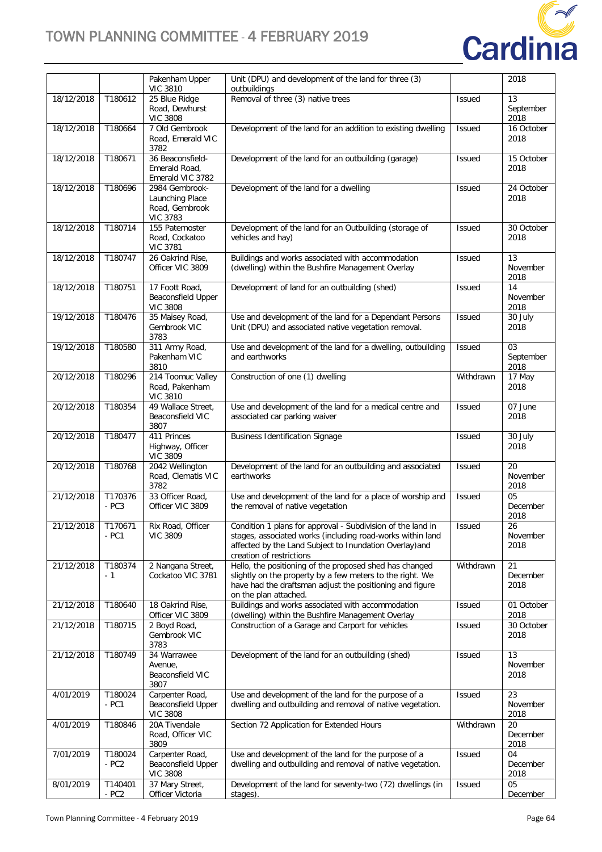

|            |                    | Pakenham Upper<br><b>VIC 3810</b>                                      | Unit (DPU) and development of the land for three (3)<br>outbuildings                                                                                                                                             |               | 2018                    |
|------------|--------------------|------------------------------------------------------------------------|------------------------------------------------------------------------------------------------------------------------------------------------------------------------------------------------------------------|---------------|-------------------------|
| 18/12/2018 | T180612            | 25 Blue Ridge<br>Road, Dewhurst<br><b>VIC 3808</b>                     | Removal of three (3) native trees                                                                                                                                                                                | <b>Issued</b> | 13<br>September<br>2018 |
| 18/12/2018 | T180664            | 7 Old Gembrook<br>Road, Emerald VIC<br>3782                            | Development of the land for an addition to existing dwelling                                                                                                                                                     | <b>Issued</b> | 16 October<br>2018      |
| 18/12/2018 | T180671            | 36 Beaconsfield-<br>Emerald Road,<br>Emerald VIC 3782                  | Development of the land for an outbuilding (garage)                                                                                                                                                              | <b>Issued</b> | 15 October<br>2018      |
| 18/12/2018 | T180696            | 2984 Gembrook-<br>Launching Place<br>Road, Gembrook<br><b>VIC 3783</b> | Development of the land for a dwelling                                                                                                                                                                           | Issued        | 24 October<br>2018      |
| 18/12/2018 | T180714            | 155 Paternoster<br>Road, Cockatoo<br><b>VIC 3781</b>                   | Development of the land for an Outbuilding (storage of<br>vehicles and hay)                                                                                                                                      | <b>Issued</b> | 30 October<br>2018      |
| 18/12/2018 | T180747            | 26 Oakrind Rise,<br>Officer VIC 3809                                   | Buildings and works associated with accommodation<br>(dwelling) within the Bushfire Management Overlay                                                                                                           | <b>Issued</b> | 13<br>November<br>2018  |
| 18/12/2018 | T180751            | 17 Foott Road,<br>Beaconsfield Upper<br><b>VIC 3808</b>                | Development of land for an outbuilding (shed)                                                                                                                                                                    | <b>Issued</b> | 14<br>November<br>2018  |
| 19/12/2018 | T180476            | 35 Maisey Road,<br>Gembrook VIC<br>3783                                | Use and development of the land for a Dependant Persons<br>Unit (DPU) and associated native vegetation removal.                                                                                                  | <b>Issued</b> | 30 July<br>2018         |
| 19/12/2018 | T180580            | 311 Army Road,<br>Pakenham VIC<br>3810                                 | Use and development of the land for a dwelling, outbuilding<br>and earthworks                                                                                                                                    | <b>Issued</b> | 03<br>September<br>2018 |
| 20/12/2018 | T180296            | 214 Toomuc Valley<br>Road, Pakenham<br><b>VIC 3810</b>                 | Construction of one (1) dwelling                                                                                                                                                                                 | Withdrawn     | 17 May<br>2018          |
| 20/12/2018 | T180354            | 49 Wallace Street,<br>Beaconsfield VIC<br>3807                         | Use and development of the land for a medical centre and<br>associated car parking waiver                                                                                                                        | <b>Issued</b> | 07 June<br>2018         |
| 20/12/2018 | T180477            | 411 Princes<br>Highway, Officer<br><b>VIC 3809</b>                     | <b>Business Identification Signage</b>                                                                                                                                                                           | <b>Issued</b> | 30 July<br>2018         |
| 20/12/2018 | T180768            | 2042 Wellington<br>Road, Clematis VIC<br>3782                          | Development of the land for an outbuilding and associated<br>earthworks                                                                                                                                          | <b>Issued</b> | 20<br>November<br>2018  |
| 21/12/2018 | T170376<br>$-PC3$  | 33 Officer Road,<br>Officer VIC 3809                                   | Use and development of the land for a place of worship and<br>the removal of native vegetation                                                                                                                   | <b>Issued</b> | 05<br>December<br>2018  |
| 21/12/2018 | T170671<br>- PC1   | Rix Road, Officer<br><b>VIC 3809</b>                                   | Condition 1 plans for approval - Subdivision of the land in<br>stages, associated works (including road-works within land<br>affected by the Land Subject to Inundation Overlay) and<br>creation of restrictions | <b>Issued</b> | 26<br>November<br>2018  |
| 21/12/2018 | T180374<br>- 1     | 2 Nangana Street,<br>Cockatoo VIC 3781                                 | Hello, the positioning of the proposed shed has changed<br>slightly on the property by a few meters to the right. We<br>have had the draftsman adjust the positioning and figure<br>on the plan attached.        | Withdrawn     | 21<br>December<br>2018  |
| 21/12/2018 | T180640            | 18 Oakrind Rise,<br>Officer VIC 3809                                   | Buildings and works associated with accommodation<br>(dwelling) within the Bushfire Management Overlay                                                                                                           | <b>Issued</b> | 01 October<br>2018      |
| 21/12/2018 | T180715            | 2 Boyd Road,<br>Gembrook VIC<br>3783                                   | Construction of a Garage and Carport for vehicles                                                                                                                                                                | <b>Issued</b> | 30 October<br>2018      |
| 21/12/2018 | T180749            | 34 Warrawee<br>Avenue,<br>Beaconsfield VIC<br>3807                     | Development of the land for an outbuilding (shed)                                                                                                                                                                | <b>Issued</b> | 13<br>November<br>2018  |
| 4/01/2019  | T180024<br>$- PC1$ | Carpenter Road,<br>Beaconsfield Upper<br><b>VIC 3808</b>               | Use and development of the land for the purpose of a<br>dwelling and outbuilding and removal of native vegetation.                                                                                               | <b>Issued</b> | 23<br>November<br>2018  |
| 4/01/2019  | T180846            | 20A Tivendale<br>Road, Officer VIC<br>3809                             | Section 72 Application for Extended Hours                                                                                                                                                                        | Withdrawn     | 20<br>December<br>2018  |
| 7/01/2019  | T180024<br>$-PC2$  | Carpenter Road,<br>Beaconsfield Upper<br><b>VIC 3808</b>               | Use and development of the land for the purpose of a<br>dwelling and outbuilding and removal of native vegetation.                                                                                               | <b>Issued</b> | 04<br>December<br>2018  |
| 8/01/2019  | T140401<br>$- PC2$ | 37 Mary Street,<br>Officer Victoria                                    | Development of the land for seventy-two (72) dwellings (in<br>stages).                                                                                                                                           | <b>Issued</b> | 05<br>December          |